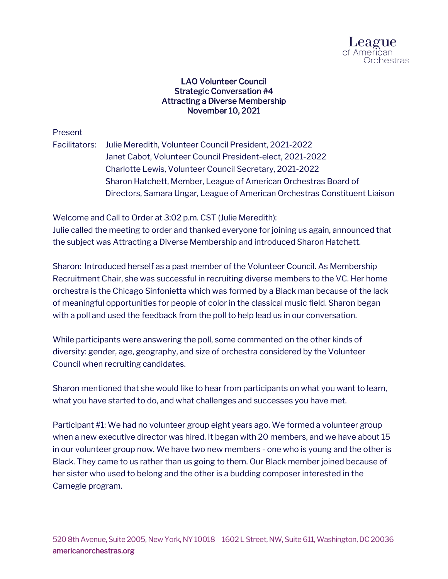

## LAO Volunteer Council Strategic Conversation #4 Attracting a Diverse Membership November 10, 2021

## Present

Facilitators: Julie Meredith, Volunteer Council President, 2021-2022 Janet Cabot, Volunteer Council President-elect, 2021-2022 Charlotte Lewis, Volunteer Council Secretary, 2021-2022 Sharon Hatchett, Member, League of American Orchestras Board of Directors, Samara Ungar, League of American Orchestras Constituent Liaison

Welcome and Call to Order at 3:02 p.m. CST (Julie Meredith): Julie called the meeting to order and thanked everyone for joining us again, announced that the subject was Attracting a Diverse Membership and introduced Sharon Hatchett.

Sharon: Introduced herself as a past member of the Volunteer Council. As Membership Recruitment Chair, she was successful in recruiting diverse members to the VC. Her home orchestra is the Chicago Sinfonietta which was formed by a Black man because of the lack of meaningful opportunities for people of color in the classical music field. Sharon began with a poll and used the feedback from the poll to help lead us in our conversation.

While participants were answering the poll, some commented on the other kinds of diversity: gender, age, geography, and size of orchestra considered by the Volunteer Council when recruiting candidates.

Sharon mentioned that she would like to hear from participants on what you want to learn, what you have started to do, and what challenges and successes you have met.

Participant #1: We had no volunteer group eight years ago. We formed a volunteer group when a new executive director was hired. It began with 20 members, and we have about 15 in our volunteer group now. We have two new members - one who is young and the other is Black. They came to us rather than us going to them. Our Black member joined because of her sister who used to belong and the other is a budding composer interested in the Carnegie program.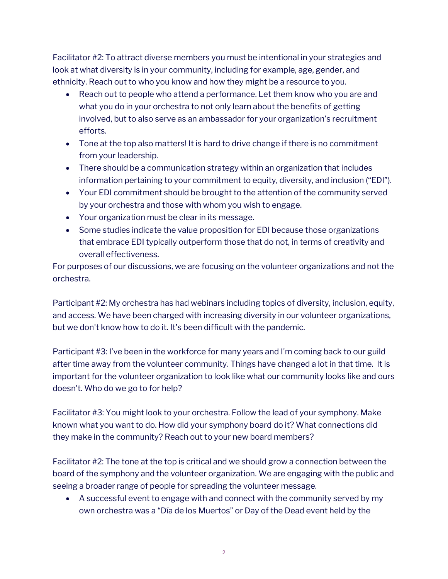Facilitator #2: To attract diverse members you must be intentional in your strategies and look at what diversity is in your community, including for example, age, gender, and ethnicity. Reach out to who you know and how they might be a resource to you.

- Reach out to people who attend a performance. Let them know who you are and what you do in your orchestra to not only learn about the benefits of getting involved, but to also serve as an ambassador for your organization's recruitment efforts.
- Tone at the top also matters! It is hard to drive change if there is no commitment from your leadership.
- There should be a communication strategy within an organization that includes information pertaining to your commitment to equity, diversity, and inclusion ("EDI").
- Your EDI commitment should be brought to the attention of the community served by your orchestra and those with whom you wish to engage.
- Your organization must be clear in its message.
- Some studies indicate the value proposition for EDI because those organizations that embrace EDI typically outperform those that do not, in terms of creativity and overall effectiveness.

For purposes of our discussions, we are focusing on the volunteer organizations and not the orchestra.

Participant #2: My orchestra has had webinars including topics of diversity, inclusion, equity, and access. We have been charged with increasing diversity in our volunteer organizations, but we don't know how to do it. It's been difficult with the pandemic.

Participant #3: I've been in the workforce for many years and I'm coming back to our guild after time away from the volunteer community. Things have changed a lot in that time. It is important for the volunteer organization to look like what our community looks like and ours doesn't. Who do we go to for help?

Facilitator #3: You might look to your orchestra. Follow the lead of your symphony. Make known what you want to do. How did your symphony board do it? What connections did they make in the community? Reach out to your new board members?

Facilitator #2: The tone at the top is critical and we should grow a connection between the board of the symphony and the volunteer organization. We are engaging with the public and seeing a broader range of people for spreading the volunteer message.

• A successful event to engage with and connect with the community served by my own orchestra was a "Día de los Muertos" or Day of the Dead event held by the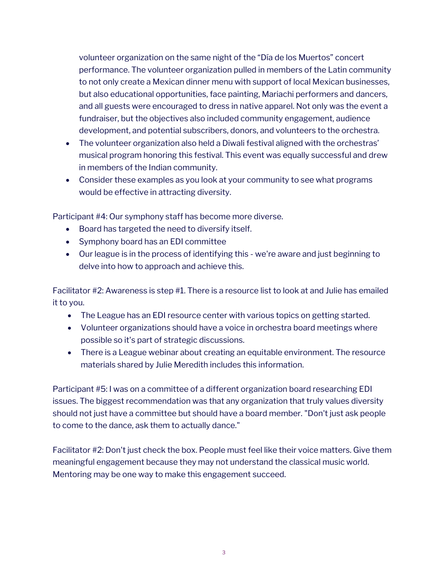volunteer organization on the same night of the "Día de los Muertos" concert performance. The volunteer organization pulled in members of the Latin community to not only create a Mexican dinner menu with support of local Mexican businesses, but also educational opportunities, face painting, Mariachi performers and dancers, and all guests were encouraged to dress in native apparel. Not only was the event a fundraiser, but the objectives also included community engagement, audience development, and potential subscribers, donors, and volunteers to the orchestra.

- The volunteer organization also held a Diwali festival aligned with the orchestras' musical program honoring this festival. This event was equally successful and drew in members of the Indian community.
- Consider these examples as you look at your community to see what programs would be effective in attracting diversity.

Participant #4: Our symphony staff has become more diverse.

- Board has targeted the need to diversify itself.
- Symphony board has an EDI committee
- Our league is in the process of identifying this we're aware and just beginning to delve into how to approach and achieve this.

Facilitator #2: Awareness is step #1. There is a resource list to look at and Julie has emailed it to you.

- The League has an EDI resource center with various topics on getting started.
- Volunteer organizations should have a voice in orchestra board meetings where possible so it's part of strategic discussions.
- There is a League webinar about creating an equitable environment. The resource materials shared by Julie Meredith includes this information.

Participant #5: I was on a committee of a different organization board researching EDI issues. The biggest recommendation was that any organization that truly values diversity should not just have a committee but should have a board member. "Don't just ask people to come to the dance, ask them to actually dance."

Facilitator #2: Don't just check the box. People must feel like their voice matters. Give them meaningful engagement because they may not understand the classical music world. Mentoring may be one way to make this engagement succeed.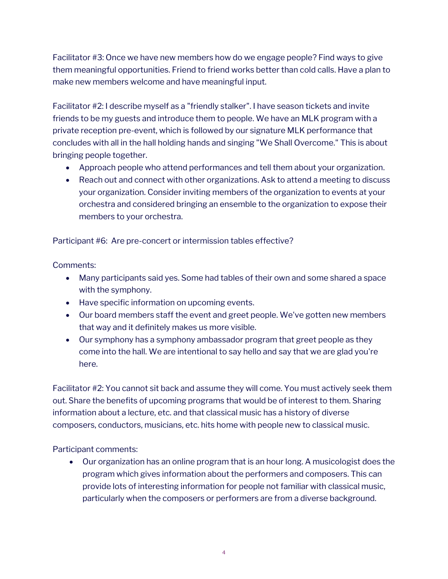Facilitator #3: Once we have new members how do we engage people? Find ways to give them meaningful opportunities. Friend to friend works better than cold calls. Have a plan to make new members welcome and have meaningful input.

Facilitator #2: I describe myself as a "friendly stalker". I have season tickets and invite friends to be my guests and introduce them to people. We have an MLK program with a private reception pre-event, which is followed by our signature MLK performance that concludes with all in the hall holding hands and singing "We Shall Overcome." This is about bringing people together.

- Approach people who attend performances and tell them about your organization.
- Reach out and connect with other organizations. Ask to attend a meeting to discuss your organization. Consider inviting members of the organization to events at your orchestra and considered bringing an ensemble to the organization to expose their members to your orchestra.

Participant #6: Are pre-concert or intermission tables effective?

Comments:

- Many participants said yes. Some had tables of their own and some shared a space with the symphony.
- Have specific information on upcoming events.
- Our board members staff the event and greet people. We've gotten new members that way and it definitely makes us more visible.
- Our symphony has a symphony ambassador program that greet people as they come into the hall. We are intentional to say hello and say that we are glad you're here.

Facilitator #2: You cannot sit back and assume they will come. You must actively seek them out. Share the benefits of upcoming programs that would be of interest to them. Sharing information about a lecture, etc. and that classical music has a history of diverse composers, conductors, musicians, etc. hits home with people new to classical music.

Participant comments:

• Our organization has an online program that is an hour long. A musicologist does the program which gives information about the performers and composers. This can provide lots of interesting information for people not familiar with classical music, particularly when the composers or performers are from a diverse background.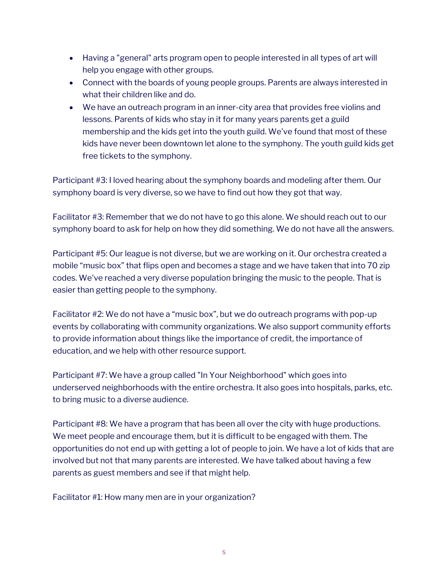- Having a "general" arts program open to people interested in all types of art will help you engage with other groups.
- Connect with the boards of young people groups. Parents are always interested in what their children like and do.
- We have an outreach program in an inner-city area that provides free violins and lessons. Parents of kids who stay in it for many years parents get a guild membership and the kids get into the youth guild. We've found that most of these kids have never been downtown let alone to the symphony. The youth guild kids get free tickets to the symphony.

Participant #3: I loved hearing about the symphony boards and modeling after them. Our symphony board is very diverse, so we have to find out how they got that way.

Facilitator #3: Remember that we do not have to go this alone. We should reach out to our symphony board to ask for help on how they did something. We do not have all the answers.

Participant #5: Our league is not diverse, but we are working on it. Our orchestra created a mobile "music box" that flips open and becomes a stage and we have taken that into 70 zip codes. We've reached a very diverse population bringing the music to the people. That is easier than getting people to the symphony.

Facilitator #2: We do not have a "music box", but we do outreach programs with pop-up events by collaborating with community organizations. We also support community efforts to provide information about things like the importance of credit, the importance of education, and we help with other resource support.

Participant #7: We have a group called "In Your Neighborhood" which goes into underserved neighborhoods with the entire orchestra. It also goes into hospitals, parks, etc. to bring music to a diverse audience.

Participant #8: We have a program that has been all over the city with huge productions. We meet people and encourage them, but it is difficult to be engaged with them. The opportunities do not end up with getting a lot of people to join. We have a lot of kids that are involved but not that many parents are interested. We have talked about having a few parents as guest members and see if that might help.

Facilitator #1: How many men are in your organization?